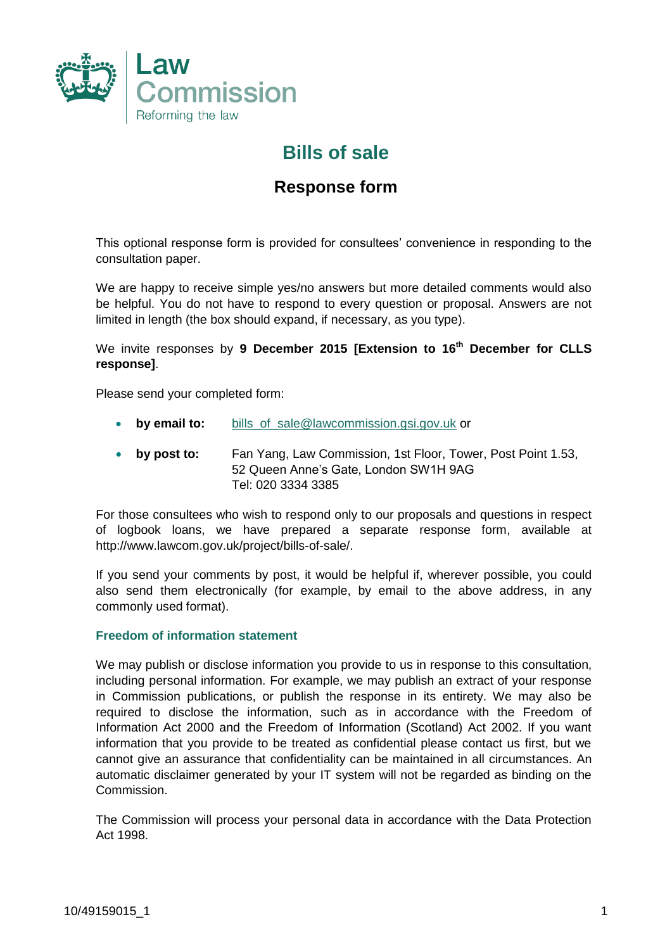

# **Bills of sale**

### **Response form**

This optional response form is provided for consultees' convenience in responding to the consultation paper.

We are happy to receive simple yes/no answers but more detailed comments would also be helpful. You do not have to respond to every question or proposal. Answers are not limited in length (the box should expand, if necessary, as you type).

We invite responses by **9 December 2015 [Extension to 16th December for CLLS response]**.

Please send your completed form:

- **by email to:** [bills\\_of\\_sale@lawcommission.gsi.gov.uk](mailto:bills_of_sale@lawcommission.gsi.gov.uk) or
- **by post to:** Fan Yang, Law Commission, 1st Floor, Tower, Post Point 1.53, 52 Queen Anne's Gate, London SW1H 9AG Tel: 020 3334 3385

For those consultees who wish to respond only to our proposals and questions in respect of logbook loans, we have prepared a separate response form, available at http://www.lawcom.gov.uk/project/bills-of-sale/.

If you send your comments by post, it would be helpful if, wherever possible, you could also send them electronically (for example, by email to the above address, in any commonly used format).

#### **Freedom of information statement**

We may publish or disclose information you provide to us in response to this consultation, including personal information. For example, we may publish an extract of your response in Commission publications, or publish the response in its entirety. We may also be required to disclose the information, such as in accordance with the Freedom of Information Act 2000 and the Freedom of Information (Scotland) Act 2002. If you want information that you provide to be treated as confidential please contact us first, but we cannot give an assurance that confidentiality can be maintained in all circumstances. An automatic disclaimer generated by your IT system will not be regarded as binding on the Commission.

The Commission will process your personal data in accordance with the Data Protection Act 1998.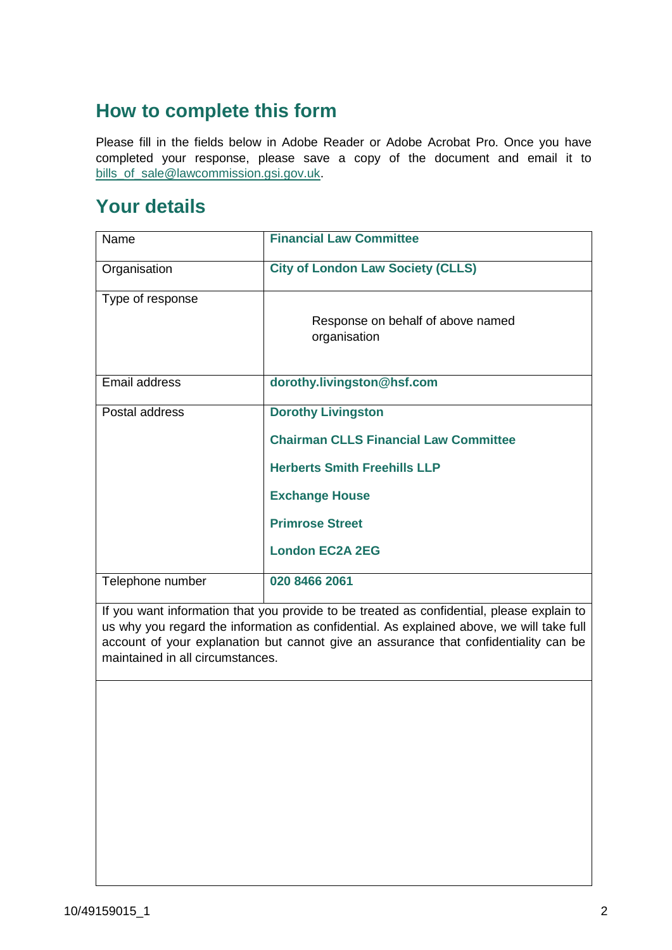# **How to complete this form**

Please fill in the fields below in Adobe Reader or Adobe Acrobat Pro. Once you have completed your response, please save a copy of the document and email it to [bills\\_of\\_sale@lawcommission.gsi.gov.uk.](mailto:bills_of_sale@lawcommission.gsi.gov.uk)

### **Your details**

| Name             | <b>Financial Law Committee</b>                    |
|------------------|---------------------------------------------------|
| Organisation     | <b>City of London Law Society (CLLS)</b>          |
| Type of response |                                                   |
|                  | Response on behalf of above named<br>organisation |
| Email address    | dorothy.livingston@hsf.com                        |
|                  |                                                   |
| Postal address   | <b>Dorothy Livingston</b>                         |
|                  | <b>Chairman CLLS Financial Law Committee</b>      |
|                  | <b>Herberts Smith Freehills LLP</b>               |
|                  | <b>Exchange House</b>                             |
|                  | <b>Primrose Street</b>                            |
|                  | <b>London EC2A 2EG</b>                            |
| Telephone number | 020 8466 2061                                     |

If you want information that you provide to be treated as confidential, please explain to us why you regard the information as confidential. As explained above, we will take full account of your explanation but cannot give an assurance that confidentiality can be maintained in all circumstances.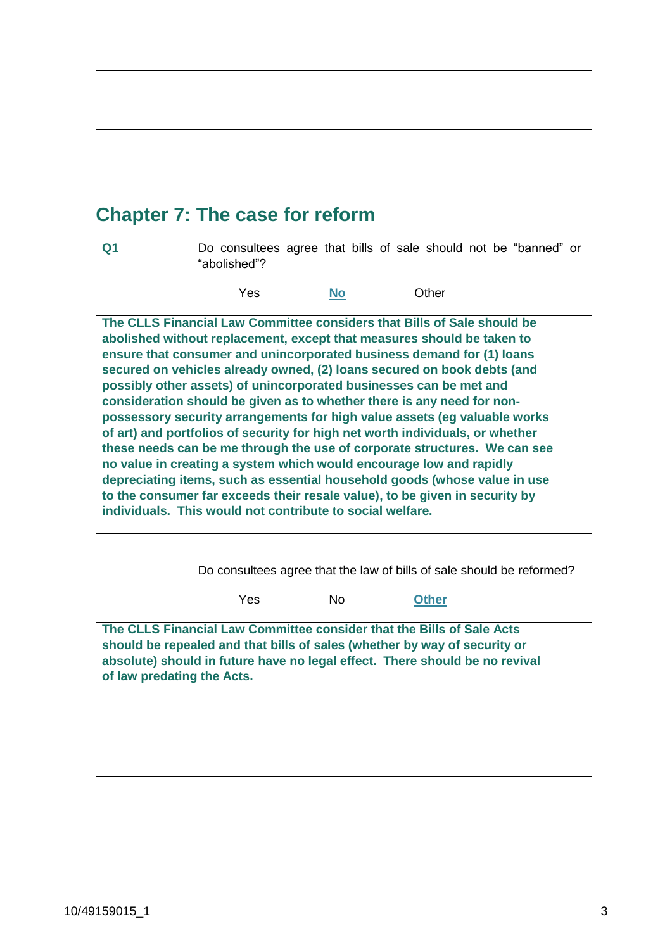# **Chapter 7: The case for reform**

**Q1** Do consultees agree that bills of sale should not be "banned" or "abolished"?

Yes **No** Other

**The CLLS Financial Law Committee considers that Bills of Sale should be abolished without replacement, except that measures should be taken to ensure that consumer and unincorporated business demand for (1) loans secured on vehicles already owned, (2) loans secured on book debts (and possibly other assets) of unincorporated businesses can be met and consideration should be given as to whether there is any need for nonpossessory security arrangements for high value assets (eg valuable works of art) and portfolios of security for high net worth individuals, or whether these needs can be me through the use of corporate structures. We can see no value in creating a system which would encourage low and rapidly depreciating items, such as essential household goods (whose value in use to the consumer far exceeds their resale value), to be given in security by individuals. This would not contribute to social welfare.** 

Do consultees agree that the law of bills of sale should be reformed?

Yes No **Other**

**The CLLS Financial Law Committee consider that the Bills of Sale Acts should be repealed and that bills of sales (whether by way of security or absolute) should in future have no legal effect. There should be no revival of law predating the Acts.**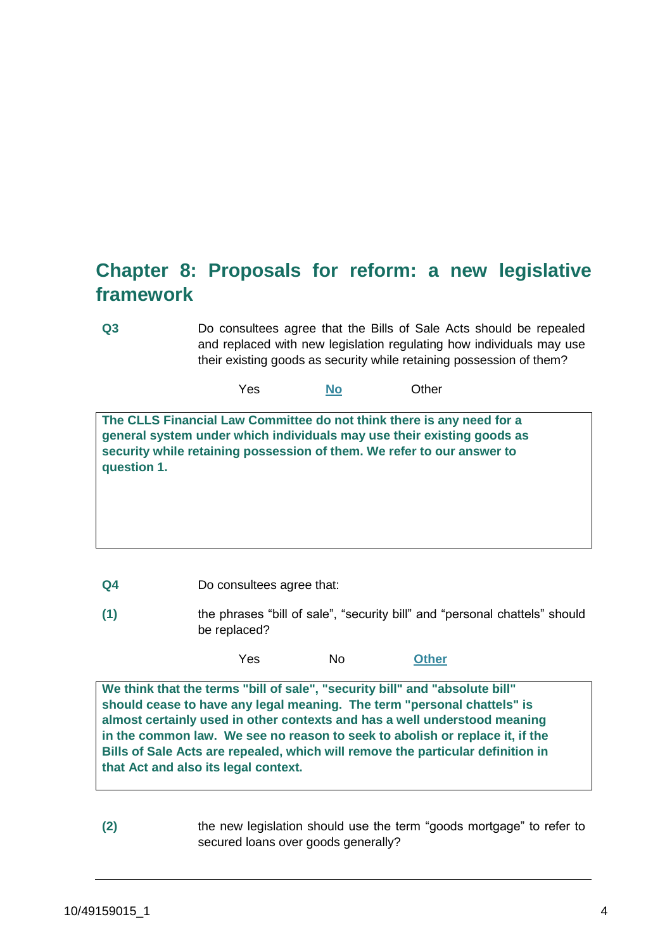# **Chapter 8: Proposals for reform: a new legislative framework**

**Q3** Do consultees agree that the Bills of Sale Acts should be repealed and replaced with new legislation regulating how individuals may use their existing goods as security while retaining possession of them?

Yes **No** Other

**The CLLS Financial Law Committee do not think there is any need for a general system under which individuals may use their existing goods as security while retaining possession of them. We refer to our answer to question 1.**

- **Q4** Do consultees agree that:
- **(1)** the phrases "bill of sale", "security bill" and "personal chattels" should be replaced?

Yes No **Other**

**We think that the terms "bill of sale", "security bill" and "absolute bill" should cease to have any legal meaning. The term "personal chattels" is almost certainly used in other contexts and has a well understood meaning in the common law. We see no reason to seek to abolish or replace it, if the Bills of Sale Acts are repealed, which will remove the particular definition in that Act and also its legal context.**

**(2)** the new legislation should use the term "goods mortgage" to refer to secured loans over goods generally?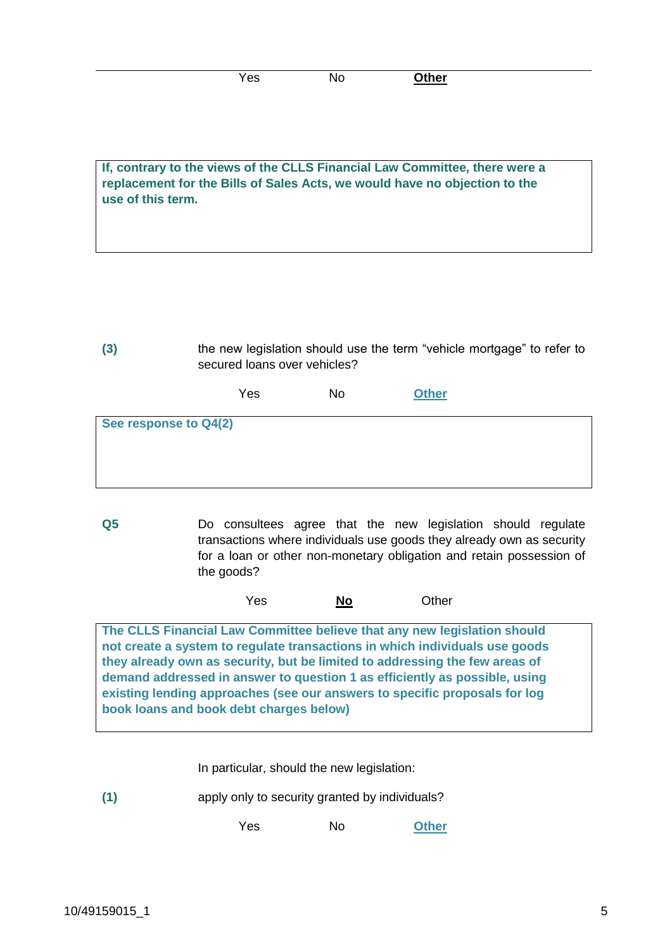| <b>Shor</b><br>٩r<br>. .<br>--<br>נס ו<br>וסווט<br>1 Y V |  |
|----------------------------------------------------------|--|
|----------------------------------------------------------|--|

**If, contrary to the views of the CLLS Financial Law Committee, there were a replacement for the Bills of Sales Acts, we would have no objection to the use of this term.**

**(3)** the new legislation should use the term "vehicle mortgage" to refer to secured loans over vehicles?

|                       | Yes | No | <b>Other</b> |
|-----------------------|-----|----|--------------|
| See response to Q4(2) |     |    |              |

**Q5** Do consultees agree that the new legislation should regulate transactions where individuals use goods they already own as security for a loan or other non-monetary obligation and retain possession of the goods?

Yes **No** Other

**The CLLS Financial Law Committee believe that any new legislation should not create a system to regulate transactions in which individuals use goods they already own as security, but be limited to addressing the few areas of demand addressed in answer to question 1 as efficiently as possible, using existing lending approaches (see our answers to specific proposals for log book loans and book debt charges below)** 

In particular, should the new legislation:

**(1)** apply only to security granted by individuals?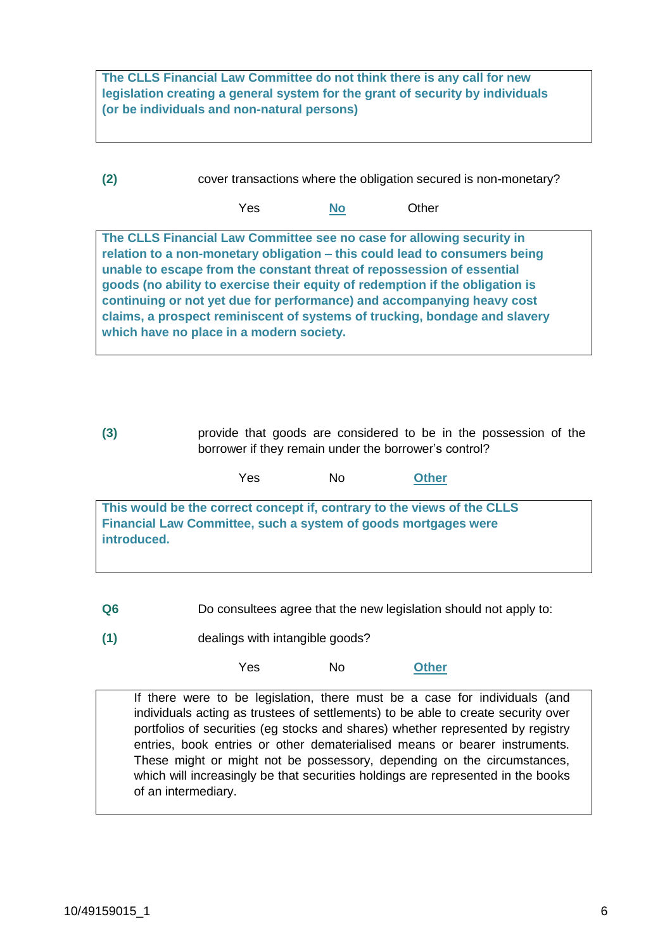**The CLLS Financial Law Committee do not think there is any call for new legislation creating a general system for the grant of security by individuals (or be individuals and non-natural persons)**

**(2)** cover transactions where the obligation secured is non-monetary?

Yes **No** Other

**The CLLS Financial Law Committee see no case for allowing security in relation to a non-monetary obligation – this could lead to consumers being unable to escape from the constant threat of repossession of essential goods (no ability to exercise their equity of redemption if the obligation is continuing or not yet due for performance) and accompanying heavy cost claims, a prospect reminiscent of systems of trucking, bondage and slavery which have no place in a modern society.** 

**(3)** provide that goods are considered to be in the possession of the borrower if they remain under the borrower's control?

|             | Yes | No. | <b>Other</b>                                                                                                                              |  |
|-------------|-----|-----|-------------------------------------------------------------------------------------------------------------------------------------------|--|
| introduced. |     |     | This would be the correct concept if, contrary to the views of the CLLS<br>Financial Law Committee, such a system of goods mortgages were |  |

**Q6** Do consultees agree that the new legislation should not apply to:

**(1)** dealings with intangible goods?

Yes No **Other**

If there were to be legislation, there must be a case for individuals (and individuals acting as trustees of settlements) to be able to create security over portfolios of securities (eg stocks and shares) whether represented by registry entries, book entries or other dematerialised means or bearer instruments. These might or might not be possessory, depending on the circumstances, which will increasingly be that securities holdings are represented in the books of an intermediary.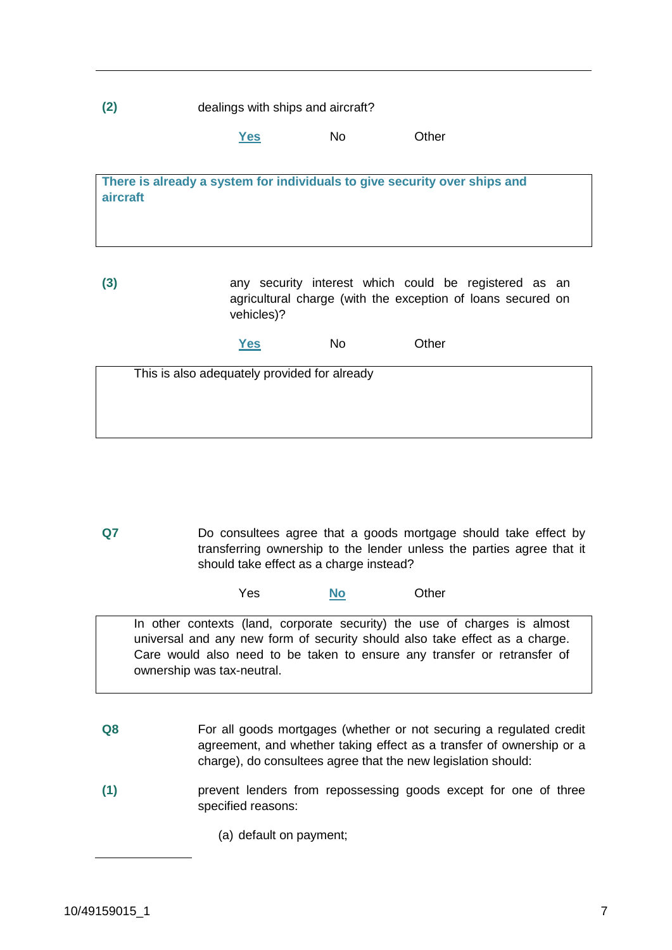**(2)** dealings with ships and aircraft?

**Yes** No Other

**There is already a system for individuals to give security over ships and aircraft**

**(3)** any security interest which could be registered as an agricultural charge (with the exception of loans secured on vehicles)?

**Yes** No Other

| This is also adequately provided for already |  |
|----------------------------------------------|--|
|                                              |  |
|                                              |  |
|                                              |  |

**Q7** Do consultees agree that a goods mortgage should take effect by transferring ownership to the lender unless the parties agree that it should take effect as a charge instead?

Yes **No** Other

In other contexts (land, corporate security) the use of charges is almost universal and any new form of security should also take effect as a charge. Care would also need to be taken to ensure any transfer or retransfer of ownership was tax-neutral.

- **Q8** For all goods mortgages (whether or not securing a regulated credit agreement, and whether taking effect as a transfer of ownership or a charge), do consultees agree that the new legislation should:
- **(1)** prevent lenders from repossessing goods except for one of three specified reasons:
	- (a) default on payment;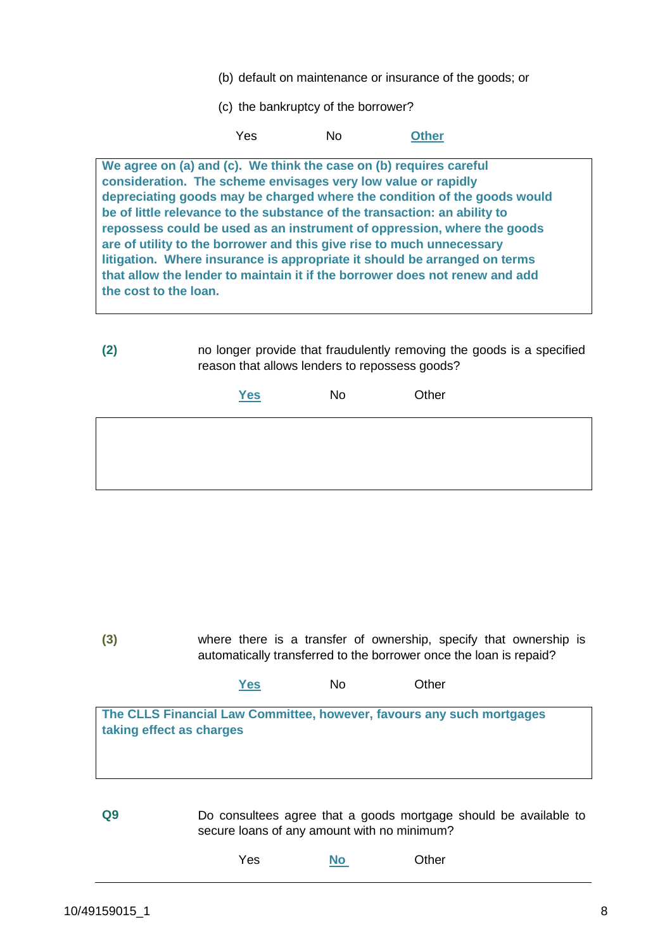- (b) default on maintenance or insurance of the goods; or
- (c) the bankruptcy of the borrower?

Yes No **Other**

**We agree on (a) and (c). We think the case on (b) requires careful consideration. The scheme envisages very low value or rapidly depreciating goods may be charged where the condition of the goods would be of little relevance to the substance of the transaction: an ability to repossess could be used as an instrument of oppression, where the goods are of utility to the borrower and this give rise to much unnecessary litigation. Where insurance is appropriate it should be arranged on terms that allow the lender to maintain it if the borrower does not renew and add the cost to the loan.**

**(2)** no longer provide that fraudulently removing the goods is a specified reason that allows lenders to repossess goods?

| Yes | No | Other |
|-----|----|-------|
|     |    |       |
|     |    |       |
|     |    |       |

**(3)** where there is a transfer of ownership, specify that ownership is automatically transferred to the borrower once the loan is repaid?

| <b>Yes</b><br>No | Other |
|------------------|-------|
|------------------|-------|

**The CLLS Financial Law Committee, however, favours any such mortgages taking effect as charges**

**Q9** Do consultees agree that a goods mortgage should be available to secure loans of any amount with no minimum?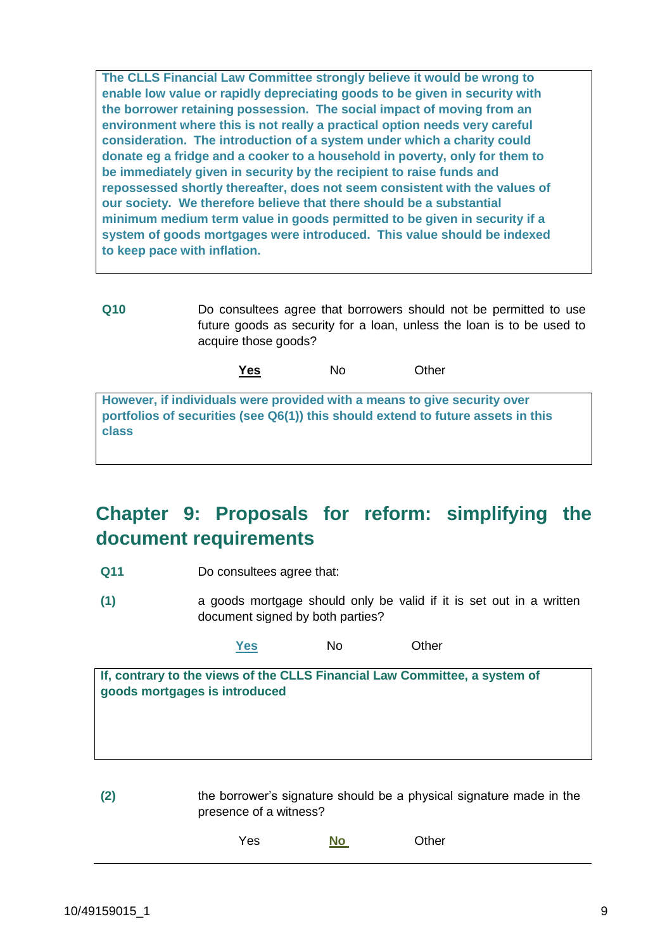**The CLLS Financial Law Committee strongly believe it would be wrong to enable low value or rapidly depreciating goods to be given in security with the borrower retaining possession. The social impact of moving from an environment where this is not really a practical option needs very careful consideration. The introduction of a system under which a charity could donate eg a fridge and a cooker to a household in poverty, only for them to be immediately given in security by the recipient to raise funds and repossessed shortly thereafter, does not seem consistent with the values of our society. We therefore believe that there should be a substantial minimum medium term value in goods permitted to be given in security if a system of goods mortgages were introduced. This value should be indexed to keep pace with inflation.**

**Q10** Do consultees agree that borrowers should not be permitted to use future goods as security for a loan, unless the loan is to be used to acquire those goods?

**Yes** No Other

**However, if individuals were provided with a means to give security over portfolios of securities (see Q6(1)) this should extend to future assets in this class**

## **Chapter 9: Proposals for reform: simplifying the document requirements**

- **Q11** Do consultees agree that:
- **(1)** a goods mortgage should only be valid if it is set out in a written document signed by both parties?

**Yes** No Other

**If, contrary to the views of the CLLS Financial Law Committee, a system of goods mortgages is introduced**

**(2)** the borrower's signature should be a physical signature made in the presence of a witness?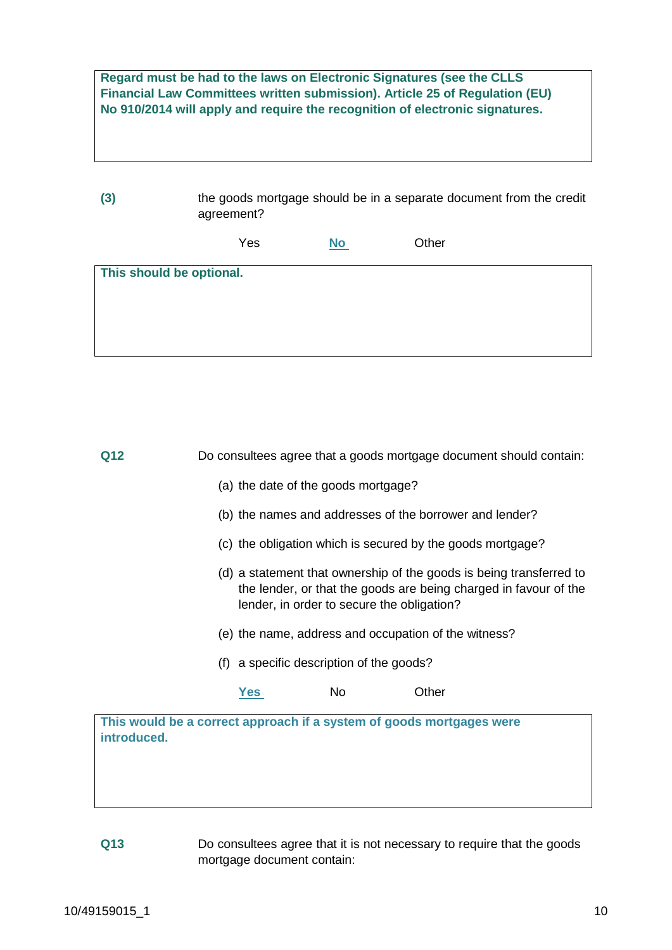**Regard must be had to the laws on Electronic Signatures (see the CLLS Financial Law Committees written submission). Article 25 of Regulation (EU) No 910/2014 will apply and require the recognition of electronic signatures.**

| (3)                      | the goods mortgage should be in a separate document from the credit<br>agreement? |           |       |  |
|--------------------------|-----------------------------------------------------------------------------------|-----------|-------|--|
|                          | Yes                                                                               | <b>No</b> | Other |  |
| This should be optional. |                                                                                   |           |       |  |

| Q12                                                                                 |                                                                                                                                                                                       | Do consultees agree that a goods mortgage document should contain: |       |  |  |
|-------------------------------------------------------------------------------------|---------------------------------------------------------------------------------------------------------------------------------------------------------------------------------------|--------------------------------------------------------------------|-------|--|--|
|                                                                                     | (a) the date of the goods mortgage?                                                                                                                                                   |                                                                    |       |  |  |
|                                                                                     |                                                                                                                                                                                       | (b) the names and addresses of the borrower and lender?            |       |  |  |
|                                                                                     |                                                                                                                                                                                       | (c) the obligation which is secured by the goods mortgage?         |       |  |  |
|                                                                                     | (d) a statement that ownership of the goods is being transferred to<br>the lender, or that the goods are being charged in favour of the<br>lender, in order to secure the obligation? |                                                                    |       |  |  |
|                                                                                     | (e) the name, address and occupation of the witness?                                                                                                                                  |                                                                    |       |  |  |
|                                                                                     | (f) a specific description of the goods?                                                                                                                                              |                                                                    |       |  |  |
|                                                                                     | Yes                                                                                                                                                                                   | No                                                                 | Other |  |  |
| This would be a correct approach if a system of goods mortgages were<br>introduced. |                                                                                                                                                                                       |                                                                    |       |  |  |

#### **Q13** Do consultees agree that it is not necessary to require that the goods mortgage document contain: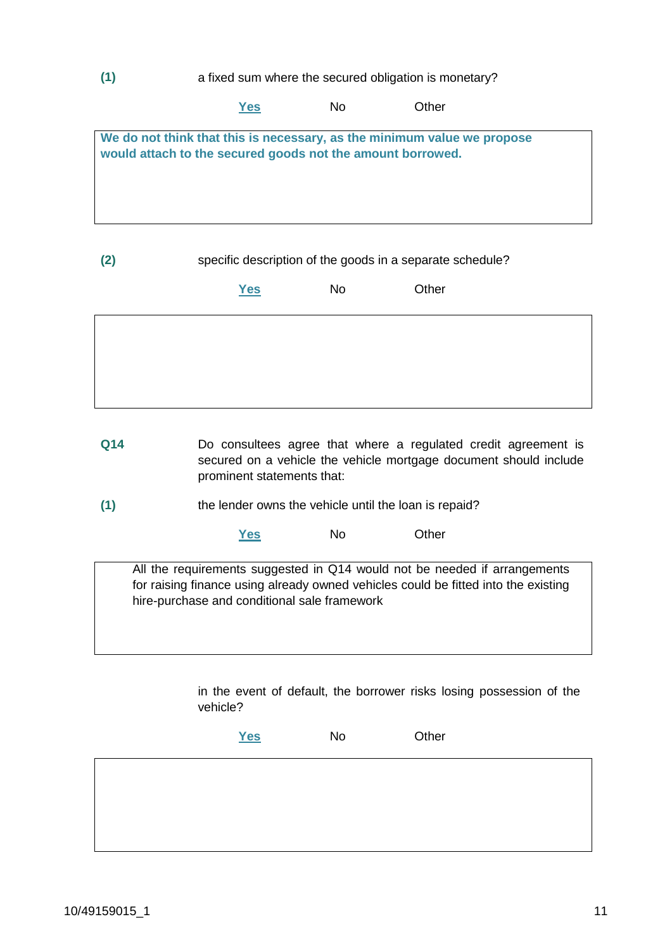#### **(1)** a fixed sum where the secured obligation is monetary?

|                                                            | 'es | No | : Other                                                                 |  |
|------------------------------------------------------------|-----|----|-------------------------------------------------------------------------|--|
|                                                            |     |    |                                                                         |  |
|                                                            |     |    | We do not think that this is necessary, as the minimum value we propose |  |
| would attach to the secured goods not the amount borrowed. |     |    |                                                                         |  |
|                                                            |     |    |                                                                         |  |
|                                                            |     |    |                                                                         |  |
|                                                            |     |    |                                                                         |  |
|                                                            |     |    |                                                                         |  |
|                                                            |     |    |                                                                         |  |

#### **(2)** specific description of the goods in a separate schedule?

| <u>Yes</u> | No | Other |
|------------|----|-------|
|            |    |       |
|            |    |       |
|            |    |       |
|            |    |       |

- **Q14** Do consultees agree that where a regulated credit agreement is secured on a vehicle the vehicle mortgage document should include prominent statements that:
- **(1)** the lender owns the vehicle until the loan is repaid?

**Yes** No Other

All the requirements suggested in Q14 would not be needed if arrangements for raising finance using already owned vehicles could be fitted into the existing hire-purchase and conditional sale framework

> in the event of default, the borrower risks losing possession of the vehicle?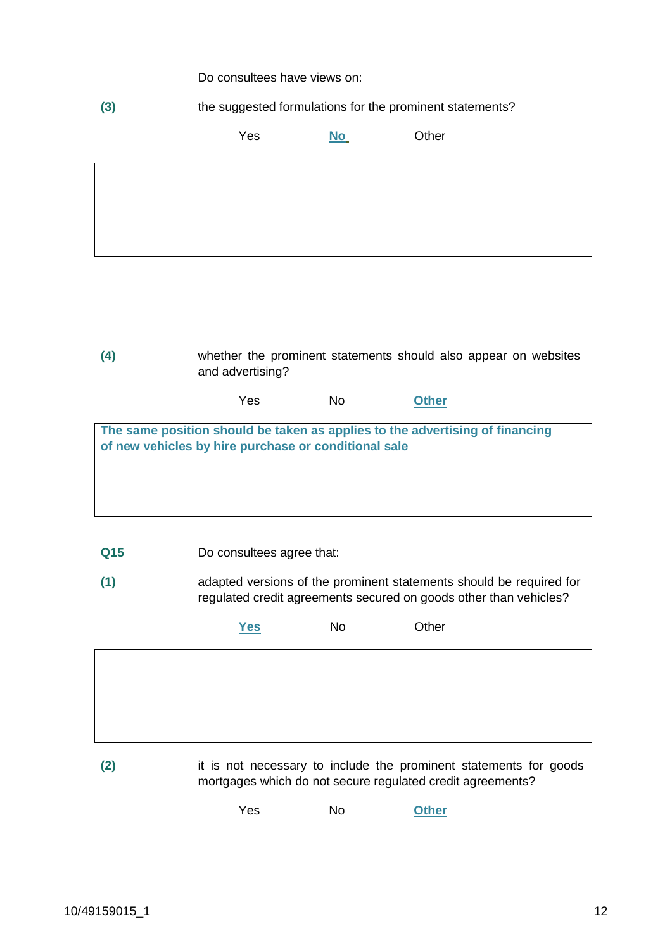Do consultees have views on:

**(3)** the suggested formulations for the prominent statements?

Yes **No** Other

**(4)** whether the prominent statements should also appear on websites and advertising? Yes No **Other The same position should be taken as applies to the advertising of financing of new vehicles by hire purchase or conditional sale**

- **Q15** Do consultees agree that:
- **(1)** adapted versions of the prominent statements should be required for regulated credit agreements secured on goods other than vehicles?

|     | <b>Yes</b> | No | Other                                                                                                                           |  |
|-----|------------|----|---------------------------------------------------------------------------------------------------------------------------------|--|
|     |            |    |                                                                                                                                 |  |
|     |            |    |                                                                                                                                 |  |
|     |            |    |                                                                                                                                 |  |
| (2) |            |    | it is not necessary to include the prominent statements for goods<br>mortgages which do not secure regulated credit agreements? |  |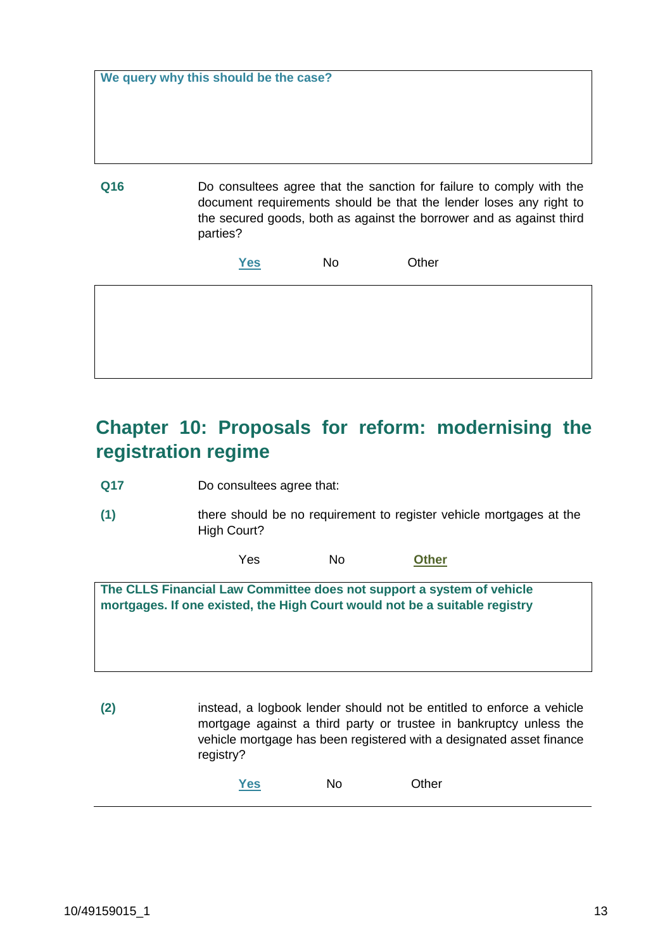|  |  |  |  | We query why this should be the case? |  |  |  |
|--|--|--|--|---------------------------------------|--|--|--|
|--|--|--|--|---------------------------------------|--|--|--|

**Q16** Do consultees agree that the sanction for failure to comply with the document requirements should be that the lender loses any right to the secured goods, both as against the borrower and as against third parties?

| <b>Yes</b> | No | Other |
|------------|----|-------|
|            |    |       |

# **Chapter 10: Proposals for reform: modernising the registration regime**

**Q17** Do consultees agree that:

**(1)** there should be no requirement to register vehicle mortgages at the High Court?

Yes No **Other**

**The CLLS Financial Law Committee does not support a system of vehicle mortgages. If one existed, the High Court would not be a suitable registry**

**(2)** instead, a logbook lender should not be entitled to enforce a vehicle mortgage against a third party or trustee in bankruptcy unless the vehicle mortgage has been registered with a designated asset finance registry?

| Yes | No | Other |
|-----|----|-------|
|     |    |       |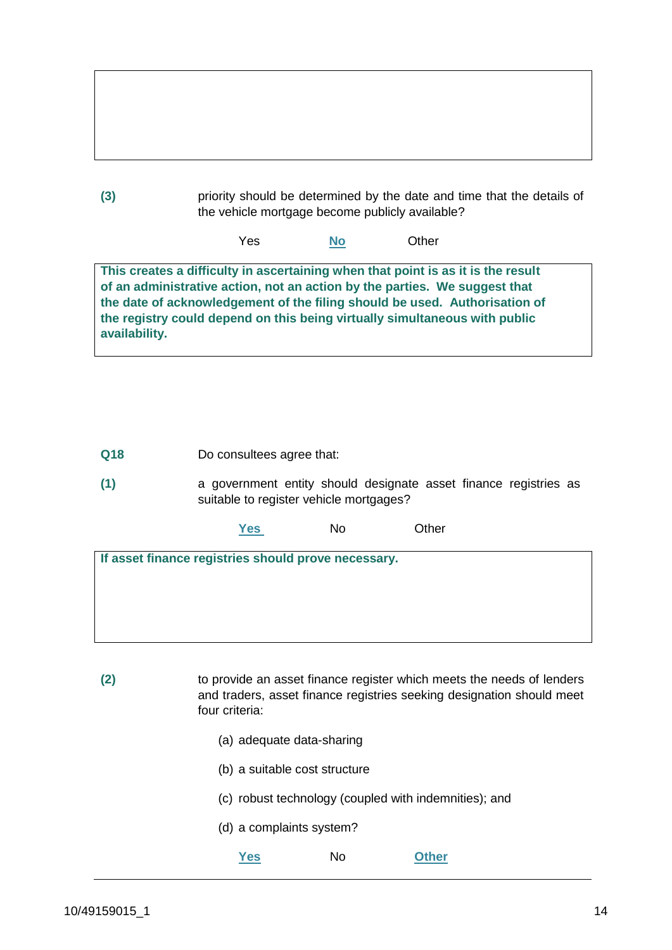| (3) | priority should be determined by the date and time that the details of<br>the vehicle mortgage become publicly available? |
|-----|---------------------------------------------------------------------------------------------------------------------------|

Yes **No** Other

**This creates a difficulty in ascertaining when that point is as it is the result of an administrative action, not an action by the parties. We suggest that the date of acknowledgement of the filing should be used. Authorisation of the registry could depend on this being virtually simultaneous with public availability.**

**Q18** Do consultees agree that:

**(1)** a government entity should designate asset finance registries as suitable to register vehicle mortgages?

**Yes** No Other

**If asset finance registries should prove necessary.**

**(2)** to provide an asset finance register which meets the needs of lenders and traders, asset finance registries seeking designation should meet four criteria:

- (a) adequate data-sharing
- (b) a suitable cost structure
- (c) robust technology (coupled with indemnities); and
- (d) a complaints system?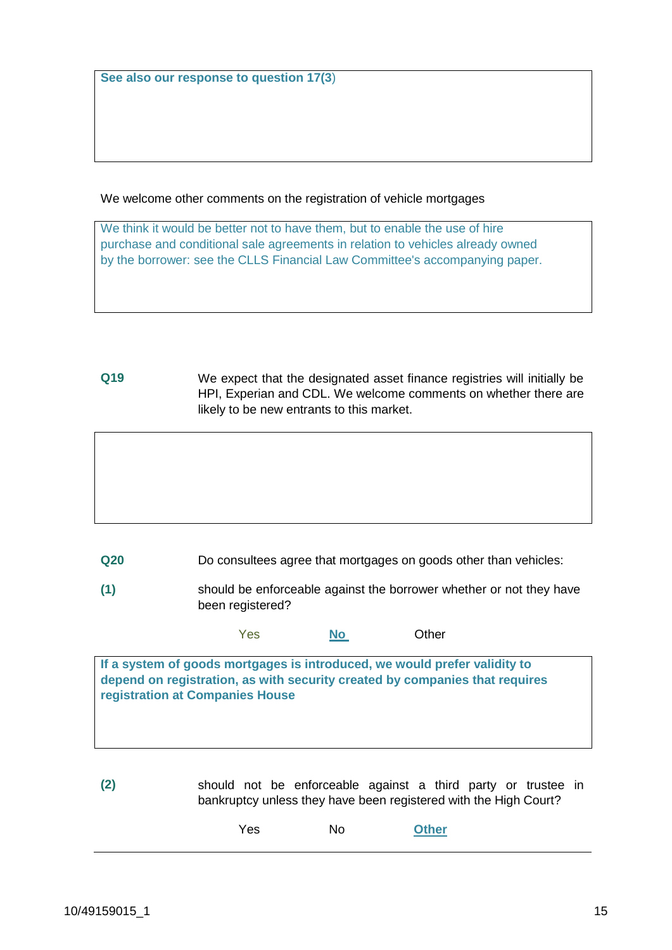**See also our response to question 17(3**)

We welcome other comments on the registration of vehicle mortgages

We think it would be better not to have them, but to enable the use of hire purchase and conditional sale agreements in relation to vehicles already owned by the borrower: see the CLLS Financial Law Committee's accompanying paper.

**Q19** We expect that the designated asset finance registries will initially be HPI, Experian and CDL. We welcome comments on whether there are likely to be new entrants to this market.

**Q20** Do consultees agree that mortgages on goods other than vehicles:

**(1)** should be enforceable against the borrower whether or not they have been registered?

Yes **No** Other

**If a system of goods mortgages is introduced, we would prefer validity to depend on registration, as with security created by companies that requires registration at Companies House**

**(2)** should not be enforceable against a third party or trustee in bankruptcy unless they have been registered with the High Court?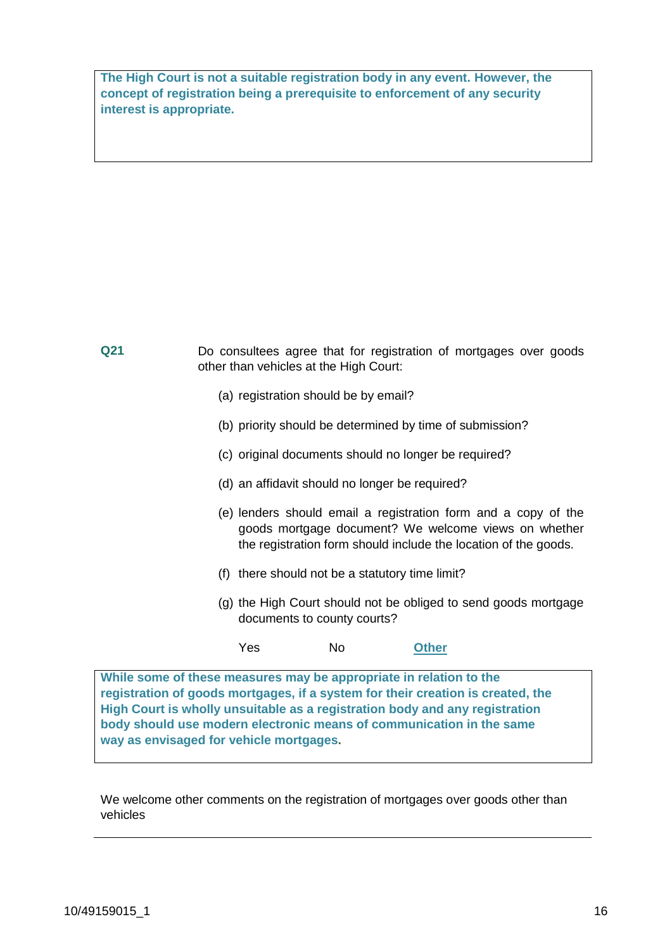**The High Court is not a suitable registration body in any event. However, the concept of registration being a prerequisite to enforcement of any security interest is appropriate.** 

| Q21                                                                | Do consultees agree that for registration of mortgages over goods |                                                                                                        |                                                                                                                                                                                           |                                                                                |  |  |
|--------------------------------------------------------------------|-------------------------------------------------------------------|--------------------------------------------------------------------------------------------------------|-------------------------------------------------------------------------------------------------------------------------------------------------------------------------------------------|--------------------------------------------------------------------------------|--|--|
|                                                                    |                                                                   | (a) registration should be by email?                                                                   |                                                                                                                                                                                           |                                                                                |  |  |
|                                                                    |                                                                   |                                                                                                        |                                                                                                                                                                                           | (b) priority should be determined by time of submission?                       |  |  |
|                                                                    |                                                                   | (c) original documents should no longer be required?<br>(d) an affidavit should no longer be required? |                                                                                                                                                                                           |                                                                                |  |  |
|                                                                    |                                                                   |                                                                                                        |                                                                                                                                                                                           |                                                                                |  |  |
|                                                                    |                                                                   |                                                                                                        | (e) lenders should email a registration form and a copy of the<br>goods mortgage document? We welcome views on whether<br>the registration form should include the location of the goods. |                                                                                |  |  |
|                                                                    |                                                                   | (f) there should not be a statutory time limit?                                                        |                                                                                                                                                                                           |                                                                                |  |  |
|                                                                    |                                                                   | documents to county courts?                                                                            |                                                                                                                                                                                           | (g) the High Court should not be obliged to send goods mortgage                |  |  |
|                                                                    |                                                                   | Yes                                                                                                    | No                                                                                                                                                                                        | <b>Other</b>                                                                   |  |  |
| While some of these measures may be appropriate in relation to the |                                                                   |                                                                                                        |                                                                                                                                                                                           | registration of goods mortgages if a system for their creation is created, the |  |  |

**registration of goods mortgages, if a system for their creation is created, the High Court is wholly unsuitable as a registration body and any registration body should use modern electronic means of communication in the same way as envisaged for vehicle mortgages.**

We welcome other comments on the registration of mortgages over goods other than vehicles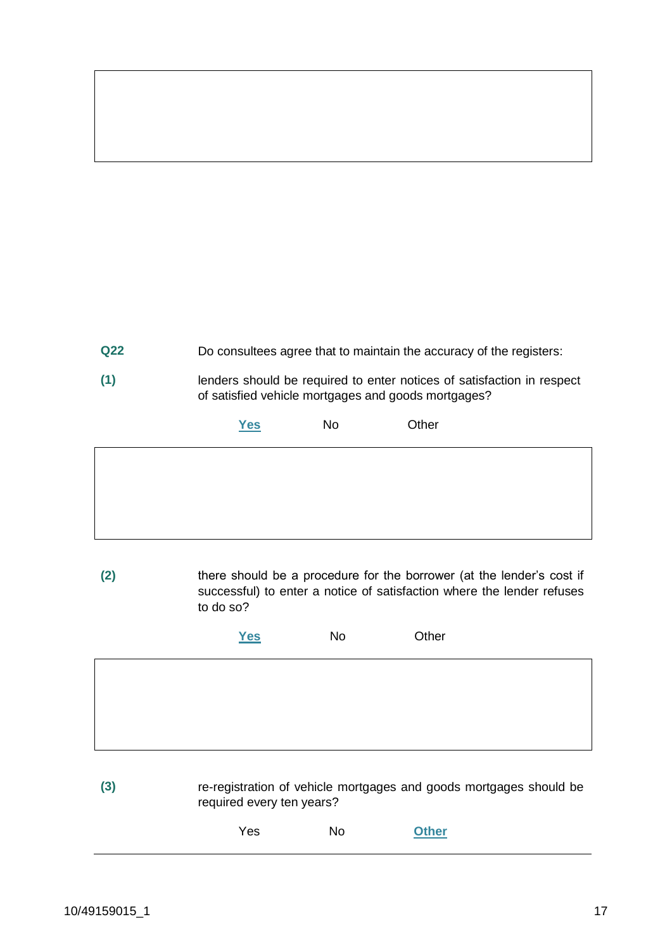**Q22** Do consultees agree that to maintain the accuracy of the registers:

**(1)** lenders should be required to enter notices of satisfaction in respect of satisfied vehicle mortgages and goods mortgages?

**Yes** No Other

**(2)** there should be a procedure for the borrower (at the lender's cost if successful) to enter a notice of satisfaction where the lender refuses

to do so?

| <u>Yes</u> | <b>No</b> | Other |
|------------|-----------|-------|
|            |           |       |
|            |           |       |

**(3)** re-registration of vehicle mortgages and goods mortgages should be required every ten years?

| Yes | <b>No</b> | <b>Other</b> |
|-----|-----------|--------------|
|     |           |              |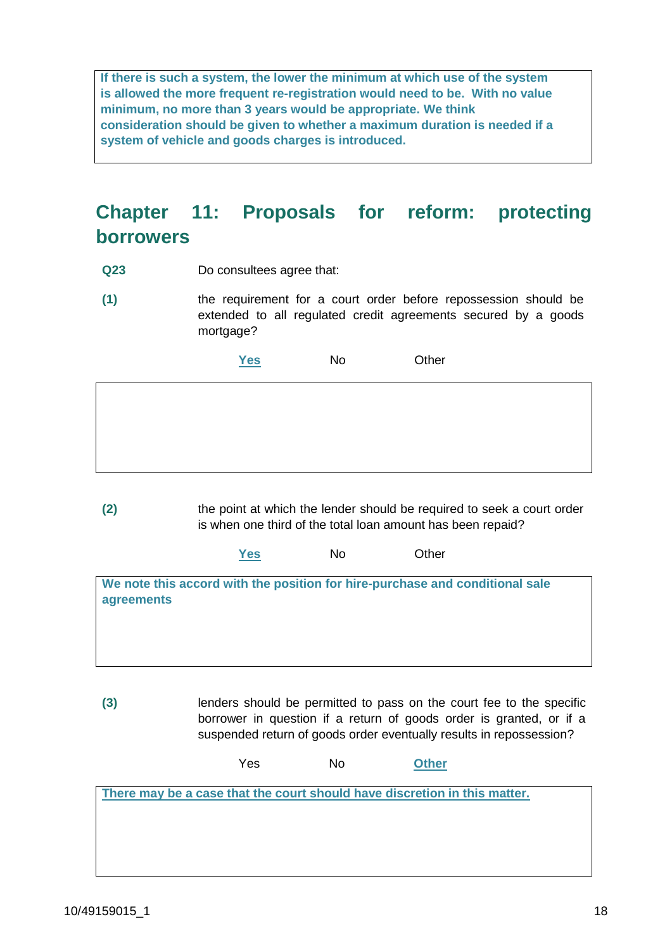**If there is such a system, the lower the minimum at which use of the system is allowed the more frequent re-registration would need to be. With no value minimum, no more than 3 years would be appropriate. We think consideration should be given to whether a maximum duration is needed if a system of vehicle and goods charges is introduced.**

# **Chapter 11: Proposals for reform: protecting borrowers**

- **Q23** Do consultees agree that:
- **(1)** the requirement for a court order before repossession should be extended to all regulated credit agreements secured by a goods mortgage?

**Yes** No Other

**(2)** the point at which the lender should be required to seek a court order is when one third of the total loan amount has been repaid?

**Yes** No Other

**We note this accord with the position for hire-purchase and conditional sale agreements**

**(3)** lenders should be permitted to pass on the court fee to the specific borrower in question if a return of goods order is granted, or if a suspended return of goods order eventually results in repossession?

Yes No **Other**

**There may be a case that the court should have discretion in this matter.**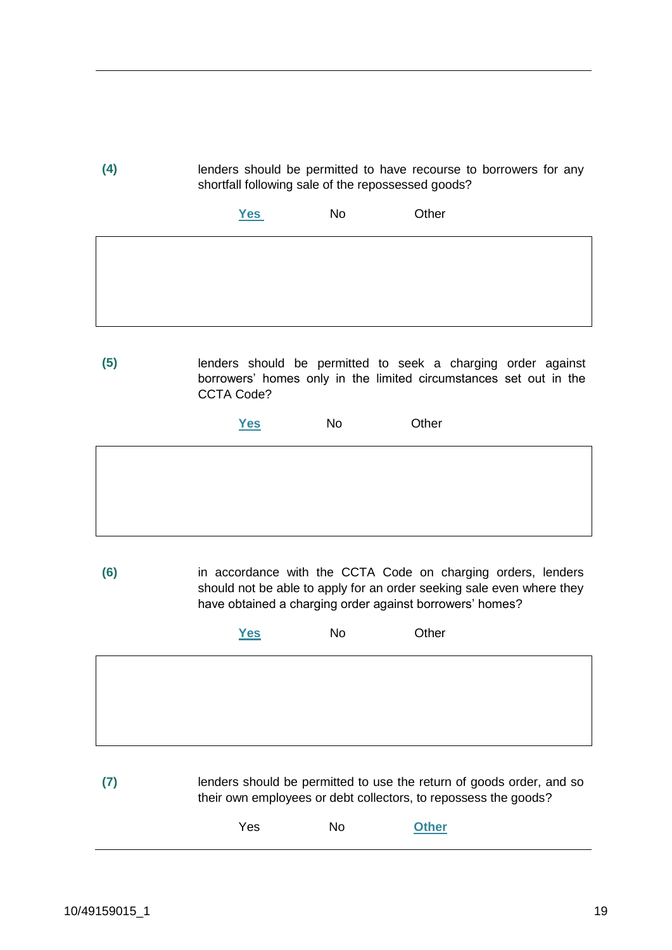**(4)** lenders should be permitted to have recourse to borrowers for any shortfall following sale of the repossessed goods?

| Yes | No | Other |
|-----|----|-------|
|     |    |       |
|     |    |       |
|     |    |       |

**(5)** lenders should be permitted to seek a charging order against borrowers' homes only in the limited circumstances set out in the CCTA Code?

**Yes** No Other

**(6)** in accordance with the CCTA Code on charging orders, lenders should not be able to apply for an order seeking sale even where they have obtained a charging order against borrowers' homes?

| Yes | No | Other |
|-----|----|-------|
|     |    |       |
|     |    |       |
|     |    |       |

**(7)** lenders should be permitted to use the return of goods order, and so their own employees or debt collectors, to repossess the goods?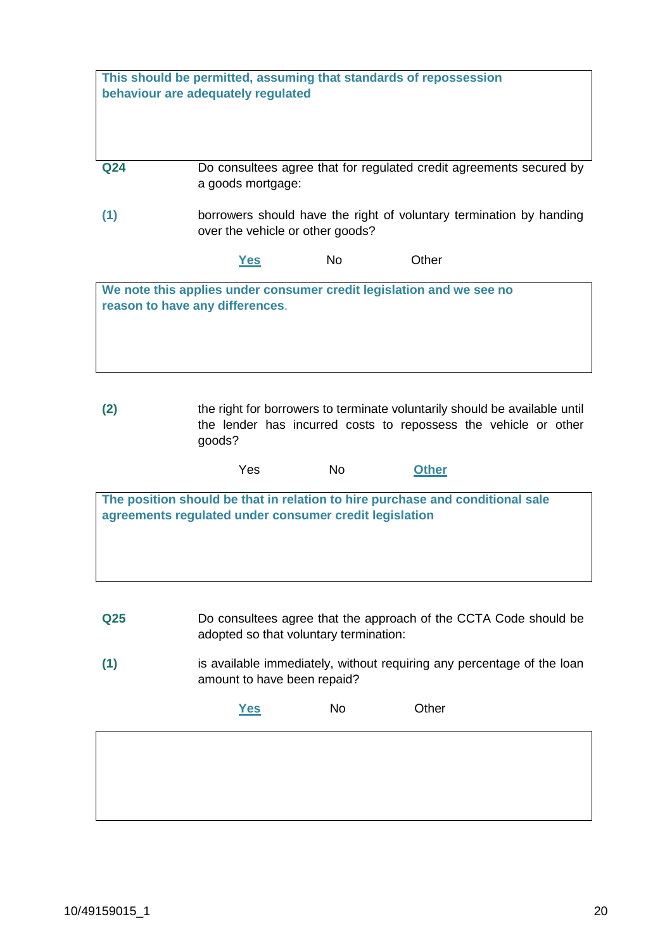|     | behaviour are adequately regulated |     | This should be permitted, assuming that standards of repossession                                                                             |  |
|-----|------------------------------------|-----|-----------------------------------------------------------------------------------------------------------------------------------------------|--|
| Q24 | a goods mortgage:                  |     | Do consultees agree that for regulated credit agreements secured by                                                                           |  |
| (1) | over the vehicle or other goods?   |     | borrowers should have the right of voluntary termination by handing                                                                           |  |
|     | <u>Yes</u>                         | No. | Other                                                                                                                                         |  |
|     | reason to have any differences.    |     | We note this applies under consumer credit legislation and we see no                                                                          |  |
| (2) | goods?                             |     | the right for borrowers to terminate voluntarily should be available until<br>the lender has incurred costs to repossess the vehicle or other |  |
|     | Yes                                | No. | <b>Other</b>                                                                                                                                  |  |

| The position should be that in relation to hire purchase and conditional sale<br>agreements regulated under consumer credit legislation |
|-----------------------------------------------------------------------------------------------------------------------------------------|
|                                                                                                                                         |
|                                                                                                                                         |
|                                                                                                                                         |

- **Q25** Do consultees agree that the approach of the CCTA Code should be adopted so that voluntary termination:
- **(1)** is available immediately, without requiring any percentage of the loan amount to have been repaid?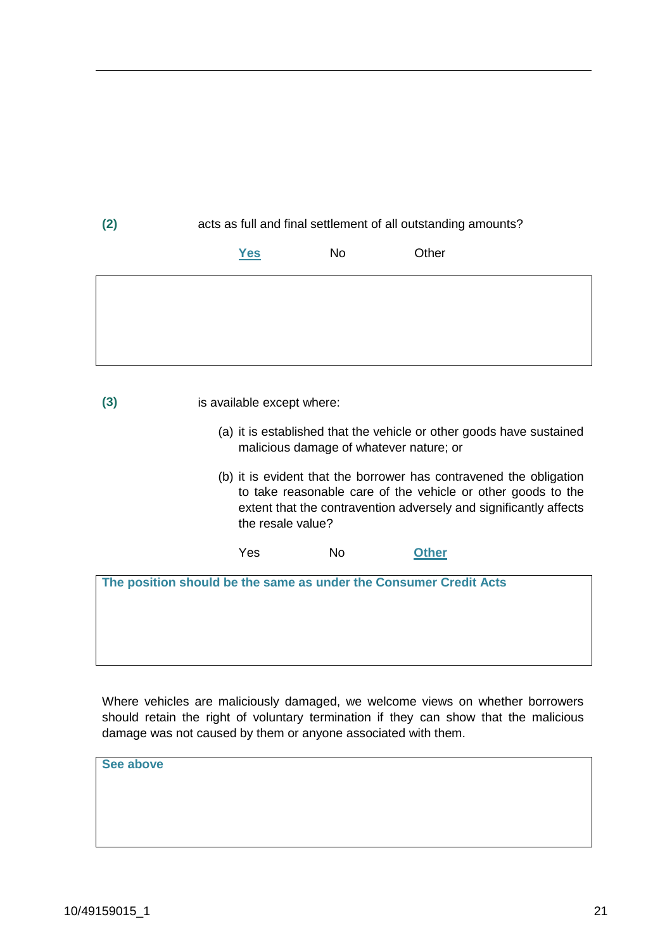| (2) | acts as full and final settlement of all outstanding amounts?                                                                                                                                                                |                                         |                                                                      |  |
|-----|------------------------------------------------------------------------------------------------------------------------------------------------------------------------------------------------------------------------------|-----------------------------------------|----------------------------------------------------------------------|--|
|     | <u>Yes</u>                                                                                                                                                                                                                   | <b>No</b>                               | Other                                                                |  |
|     |                                                                                                                                                                                                                              |                                         |                                                                      |  |
|     |                                                                                                                                                                                                                              |                                         |                                                                      |  |
|     |                                                                                                                                                                                                                              |                                         |                                                                      |  |
| (3) | is available except where:                                                                                                                                                                                                   |                                         |                                                                      |  |
|     |                                                                                                                                                                                                                              | malicious damage of whatever nature; or | (a) it is established that the vehicle or other goods have sustained |  |
|     | (b) it is evident that the borrower has contravened the obligation<br>to take reasonable care of the vehicle or other goods to the<br>extent that the contravention adversely and significantly affects<br>the resale value? |                                         |                                                                      |  |
|     | Yes                                                                                                                                                                                                                          | No                                      | <b>Other</b>                                                         |  |
|     |                                                                                                                                                                                                                              |                                         | The position should be the same as under the Consumer Credit Acts    |  |

Where vehicles are maliciously damaged, we welcome views on whether borrowers should retain the right of voluntary termination if they can show that the malicious damage was not caused by them or anyone associated with them.

**See above**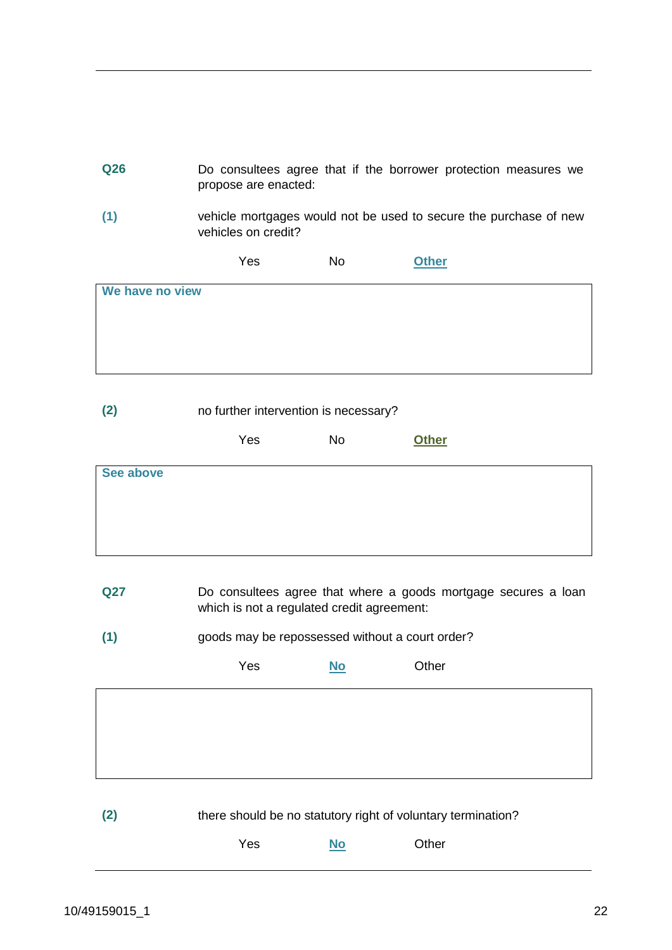| Q26             | propose are enacted:                                         |           | Do consultees agree that if the borrower protection measures we   |
|-----------------|--------------------------------------------------------------|-----------|-------------------------------------------------------------------|
| (1)             | vehicles on credit?                                          |           | vehicle mortgages would not be used to secure the purchase of new |
|                 | Yes                                                          | <b>No</b> | <b>Other</b>                                                      |
| We have no view |                                                              |           |                                                                   |
|                 |                                                              |           |                                                                   |
|                 |                                                              |           |                                                                   |
|                 |                                                              |           |                                                                   |
| (2)             | no further intervention is necessary?                        |           |                                                                   |
|                 | Yes                                                          | <b>No</b> | <b>Other</b>                                                      |
| See above       |                                                              |           |                                                                   |
|                 |                                                              |           |                                                                   |
|                 |                                                              |           |                                                                   |
|                 |                                                              |           |                                                                   |
| <b>Q27</b>      | which is not a regulated credit agreement:                   |           | Do consultees agree that where a goods mortgage secures a loan    |
| (1)             | goods may be repossessed without a court order?              |           |                                                                   |
|                 | Yes                                                          | <u>No</u> | Other                                                             |
|                 |                                                              |           |                                                                   |
|                 |                                                              |           |                                                                   |
|                 |                                                              |           |                                                                   |
|                 |                                                              |           |                                                                   |
| (2)             | there should be no statutory right of voluntary termination? |           |                                                                   |
|                 | Yes                                                          | $No$      | Other                                                             |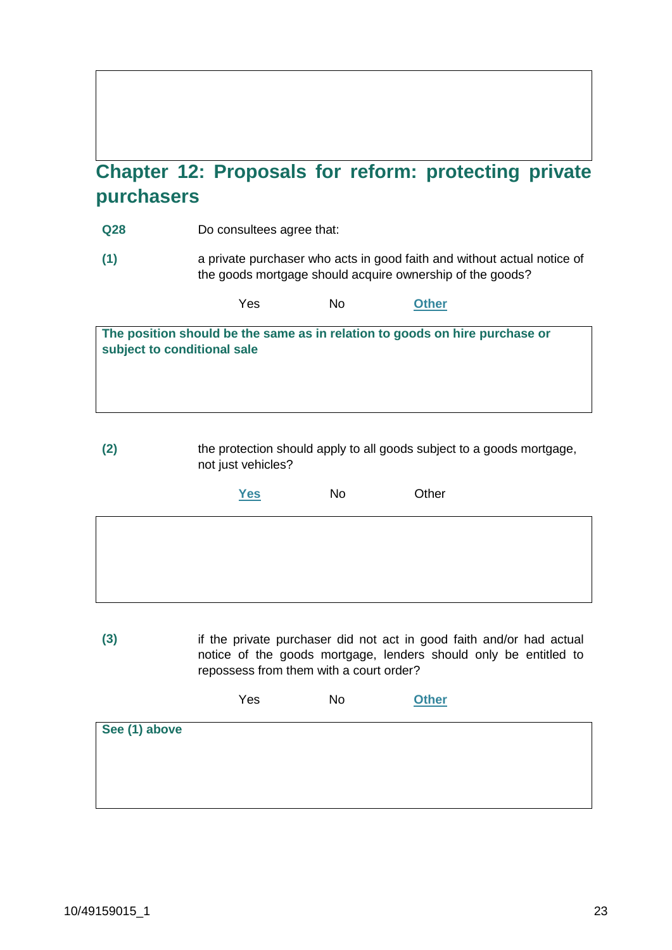# **Chapter 12: Proposals for reform: protecting private purchasers**

- **Q28** Do consultees agree that:
- **(1)** a private purchaser who acts in good faith and without actual notice of the goods mortgage should acquire ownership of the goods?

| Yes | No | <b>Other</b> |
|-----|----|--------------|
|-----|----|--------------|

| The position should be the same as in relation to goods on hire purchase or |  |
|-----------------------------------------------------------------------------|--|
| subject to conditional sale                                                 |  |

**(2)** the protection should apply to all goods subject to a goods mortgage, not just vehicles?

| Yes | No | Other |
|-----|----|-------|
|     |    |       |
|     |    |       |
|     |    |       |

**(3)** if the private purchaser did not act in good faith and/or had actual notice of the goods mortgage, lenders should only be entitled to repossess from them with a court order?

|               | Yes | <b>No</b> | <b>Other</b> |
|---------------|-----|-----------|--------------|
| See (1) above |     |           |              |
|               |     |           |              |
|               |     |           |              |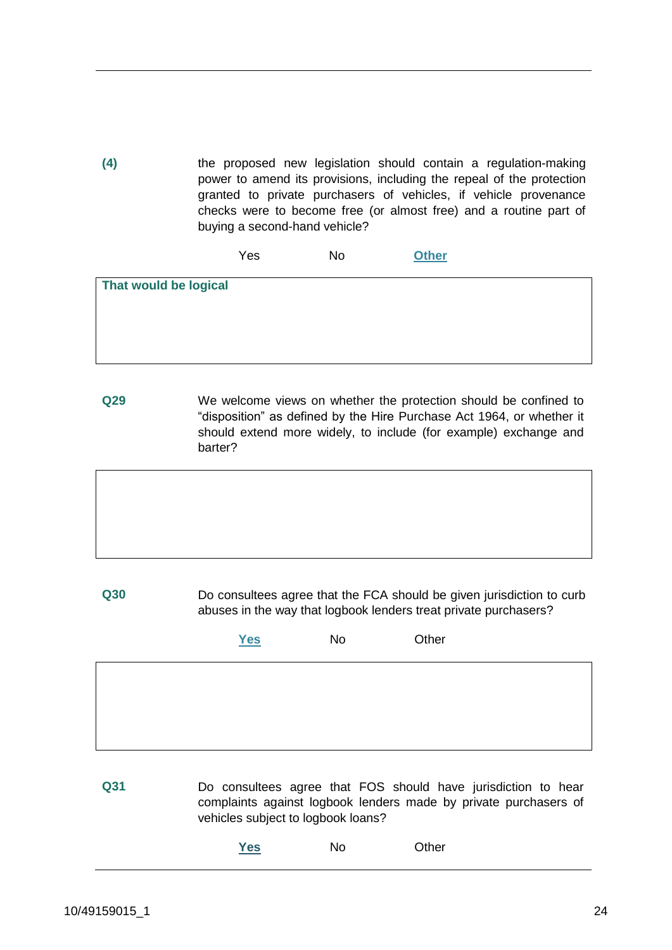**(4)** the proposed new legislation should contain a regulation-making power to amend its provisions, including the repeal of the protection granted to private purchasers of vehicles, if vehicle provenance checks were to become free (or almost free) and a routine part of buying a second-hand vehicle?

Yes No **Other**

| That would be logical |  |  |
|-----------------------|--|--|
|                       |  |  |
|                       |  |  |
|                       |  |  |
|                       |  |  |
|                       |  |  |
|                       |  |  |
|                       |  |  |
|                       |  |  |

**Q29** We welcome views on whether the protection should be confined to "disposition" as defined by the Hire Purchase Act 1964, or whether it should extend more widely, to include (for example) exchange and barter?

**Q30** Do consultees agree that the FCA should be given jurisdiction to curb abuses in the way that logbook lenders treat private purchasers?

| Yes | No | Other |
|-----|----|-------|
|     |    |       |
|     |    |       |
|     |    |       |

**Q31** Do consultees agree that FOS should have jurisdiction to hear complaints against logbook lenders made by private purchasers of vehicles subject to logbook loans?

| Yes | No | Other |
|-----|----|-------|
|     |    |       |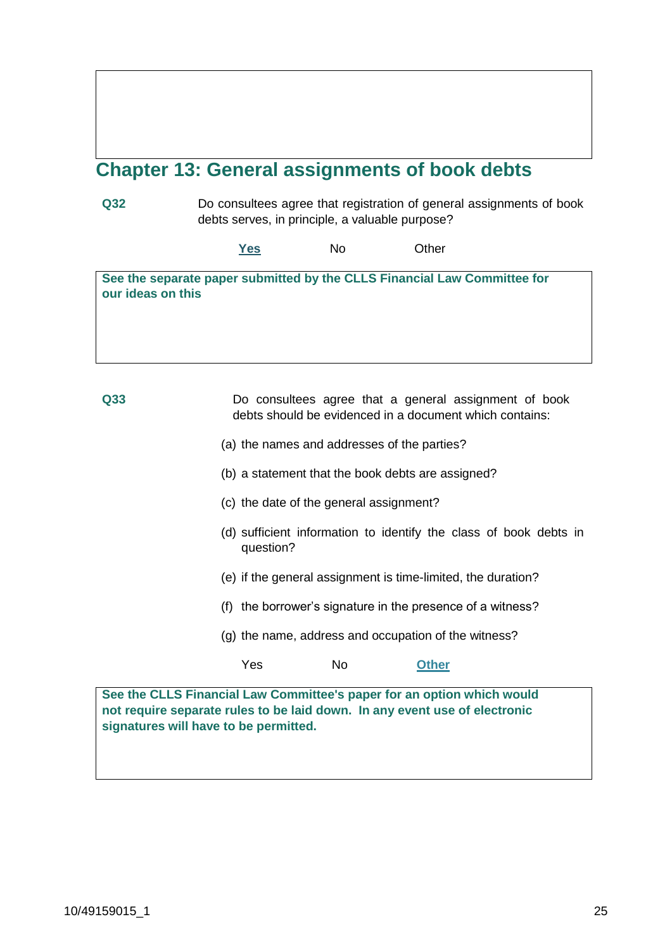# **Chapter 13: General assignments of book debts**

**Q32** Do consultees agree that registration of general assignments of book debts serves, in principle, a valuable purpose?

**Yes** No Other

**See the separate paper submitted by the CLLS Financial Law Committee for our ideas on this**

**Q33** Do consultees agree that a general assignment of book debts should be evidenced in a document which contains:

- (a) the names and addresses of the parties?
- (b) a statement that the book debts are assigned?
- (c) the date of the general assignment?
- (d) sufficient information to identify the class of book debts in question?
- (e) if the general assignment is time-limited, the duration?
- (f) the borrower's signature in the presence of a witness?
- (g) the name, address and occupation of the witness?

#### Yes No **Other**

**See the CLLS Financial Law Committee's paper for an option which would not require separate rules to be laid down. In any event use of electronic signatures will have to be permitted.**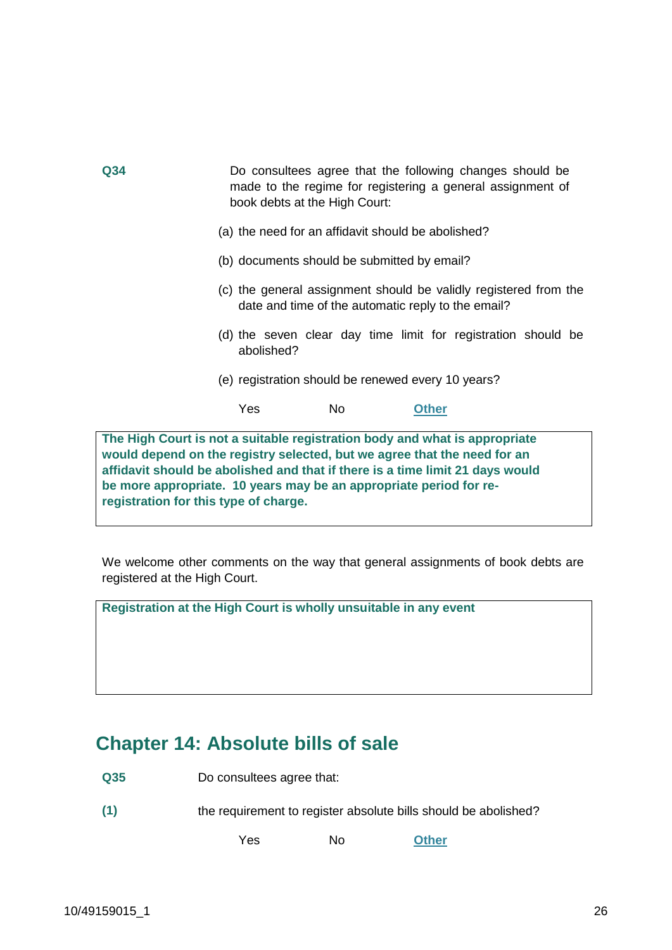| Q <sub>34</sub> | Do consultees agree that the following changes should be<br>made to the regime for registering a general assignment of<br>book debts at the High Court: |
|-----------------|---------------------------------------------------------------------------------------------------------------------------------------------------------|
|                 | (a) the need for an affidavit should be abolished?                                                                                                      |
|                 | (b) documents should be submitted by email?                                                                                                             |
|                 | (c) the general assignment should be validly registered from the<br>date and time of the automatic reply to the email?                                  |
|                 | (d) the seven clear day time limit for registration should be<br>abolished?                                                                             |
|                 | (e) registration should be renewed every 10 years?                                                                                                      |
|                 | Yes<br>No.<br>Other                                                                                                                                     |
|                 |                                                                                                                                                         |

**The High Court is not a suitable registration body and what is appropriate would depend on the registry selected, but we agree that the need for an affidavit should be abolished and that if there is a time limit 21 days would be more appropriate. 10 years may be an appropriate period for reregistration for this type of charge.**

We welcome other comments on the way that general assignments of book debts are registered at the High Court.

**Registration at the High Court is wholly unsuitable in any event**

## **Chapter 14: Absolute bills of sale**

**Q35** Do consultees agree that:

**(1)** the requirement to register absolute bills should be abolished?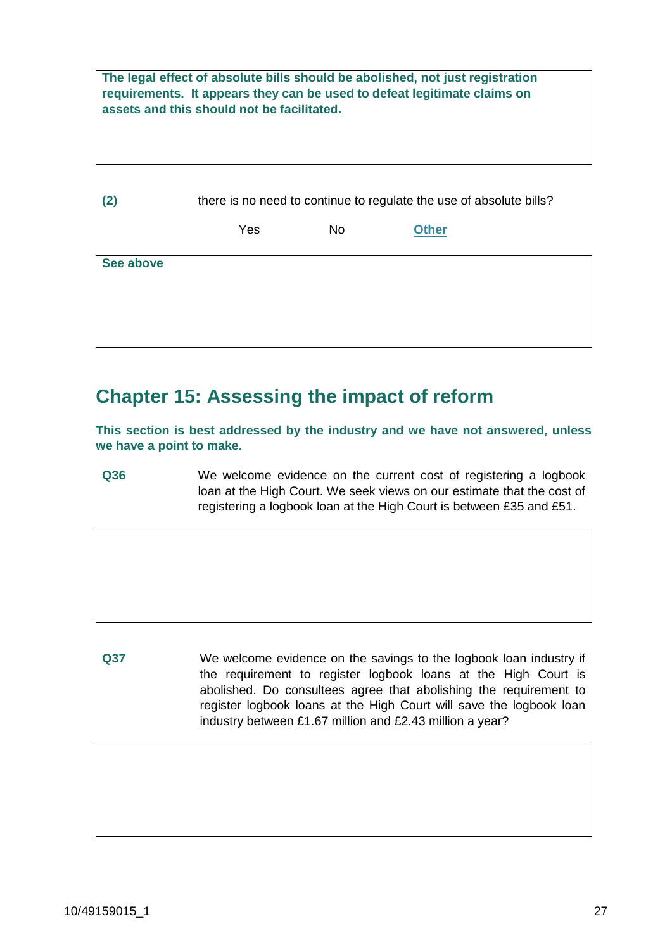**The legal effect of absolute bills should be abolished, not just registration requirements. It appears they can be used to defeat legitimate claims on assets and this should not be facilitated.**

**(2)** there is no need to continue to regulate the use of absolute bills? Yes No **Other See above**

### **Chapter 15: Assessing the impact of reform**

**This section is best addressed by the industry and we have not answered, unless we have a point to make.**

**Q36** We welcome evidence on the current cost of registering a logbook loan at the High Court. We seek views on our estimate that the cost of registering a logbook loan at the High Court is between £35 and £51.

**Q37** We welcome evidence on the savings to the logbook loan industry if the requirement to register logbook loans at the High Court is abolished. Do consultees agree that abolishing the requirement to register logbook loans at the High Court will save the logbook loan industry between £1.67 million and £2.43 million a year?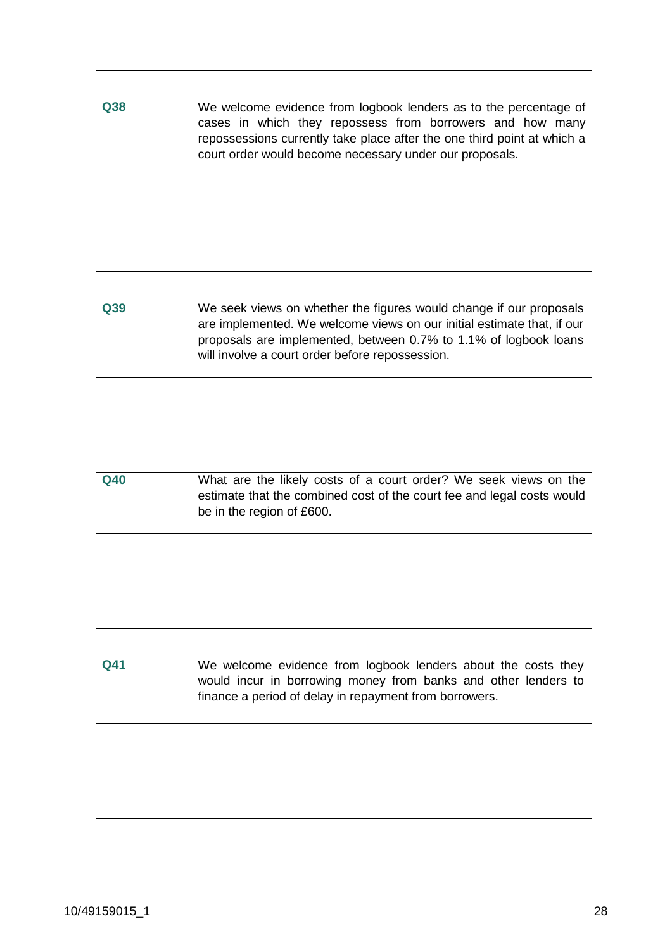**Q38** We welcome evidence from logbook lenders as to the percentage of cases in which they repossess from borrowers and how many repossessions currently take place after the one third point at which a court order would become necessary under our proposals.

**Q39** We seek views on whether the figures would change if our proposals are implemented. We welcome views on our initial estimate that, if our proposals are implemented, between 0.7% to 1.1% of logbook loans will involve a court order before repossession.

**Q40** What are the likely costs of a court order? We seek views on the estimate that the combined cost of the court fee and legal costs would be in the region of £600.

**Q41** We welcome evidence from logbook lenders about the costs they would incur in borrowing money from banks and other lenders to finance a period of delay in repayment from borrowers.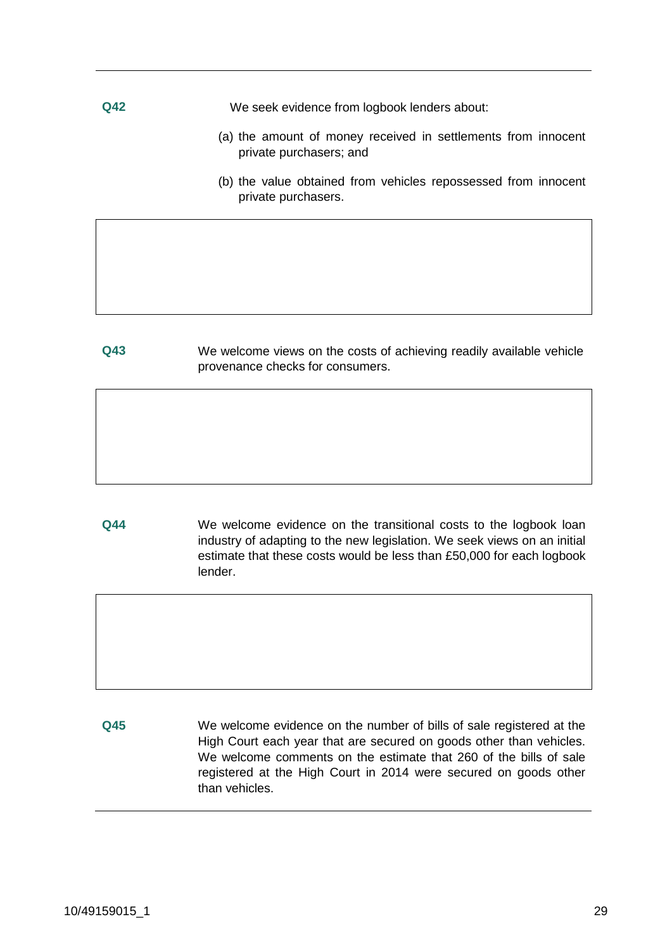**Q42** We seek evidence from logbook lenders about:

- (a) the amount of money received in settlements from innocent private purchasers; and
- (b) the value obtained from vehicles repossessed from innocent private purchasers.

**Q43** We welcome views on the costs of achieving readily available vehicle provenance checks for consumers.

**Q44** We welcome evidence on the transitional costs to the logbook loan industry of adapting to the new legislation. We seek views on an initial estimate that these costs would be less than £50,000 for each logbook lender.

**Q45** We welcome evidence on the number of bills of sale registered at the High Court each year that are secured on goods other than vehicles. We welcome comments on the estimate that 260 of the bills of sale registered at the High Court in 2014 were secured on goods other than vehicles.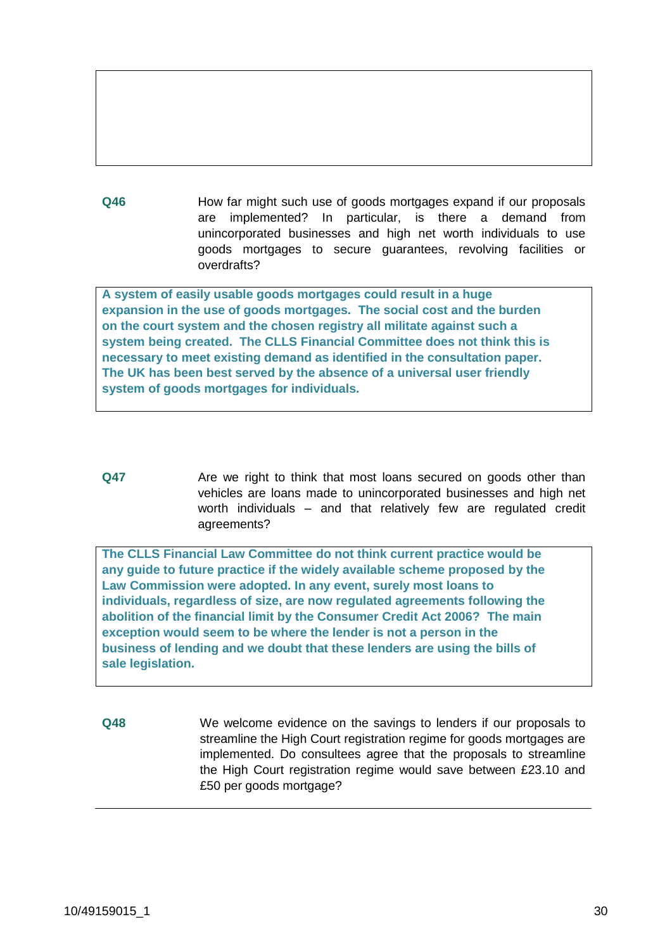**Q46** How far might such use of goods mortgages expand if our proposals are implemented? In particular, is there a demand from unincorporated businesses and high net worth individuals to use goods mortgages to secure guarantees, revolving facilities or overdrafts?

**A system of easily usable goods mortgages could result in a huge expansion in the use of goods mortgages. The social cost and the burden on the court system and the chosen registry all militate against such a system being created. The CLLS Financial Committee does not think this is necessary to meet existing demand as identified in the consultation paper. The UK has been best served by the absence of a universal user friendly system of goods mortgages for individuals.**

**Q47** Are we right to think that most loans secured on goods other than vehicles are loans made to unincorporated businesses and high net worth individuals – and that relatively few are regulated credit agreements?

**The CLLS Financial Law Committee do not think current practice would be any guide to future practice if the widely available scheme proposed by the Law Commission were adopted. In any event, surely most loans to individuals, regardless of size, are now regulated agreements following the abolition of the financial limit by the Consumer Credit Act 2006? The main exception would seem to be where the lender is not a person in the business of lending and we doubt that these lenders are using the bills of sale legislation.**

**Q48** We welcome evidence on the savings to lenders if our proposals to streamline the High Court registration regime for goods mortgages are implemented. Do consultees agree that the proposals to streamline the High Court registration regime would save between £23.10 and £50 per goods mortgage?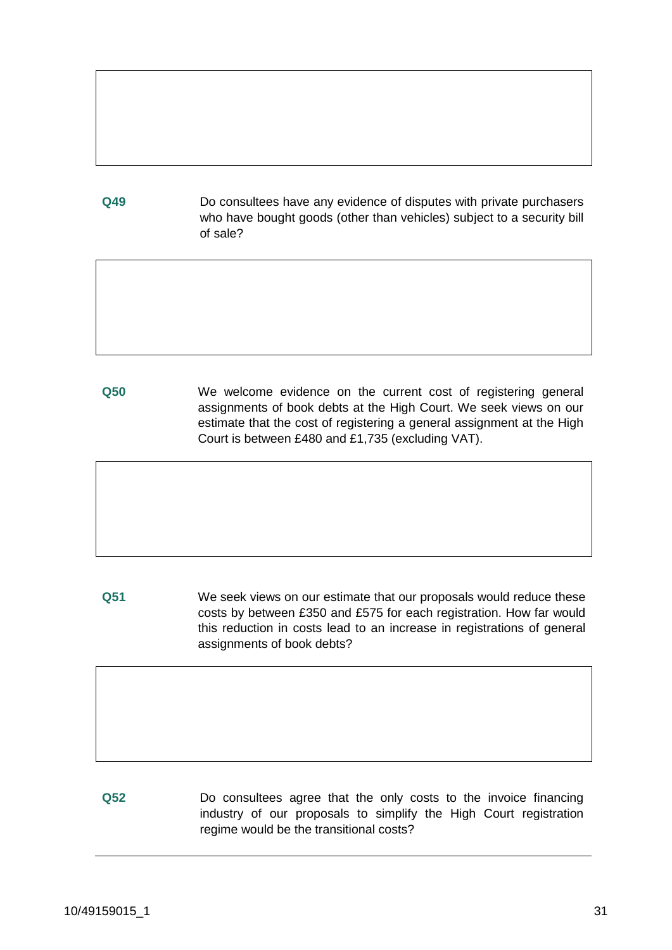**Q49** Do consultees have any evidence of disputes with private purchasers who have bought goods (other than vehicles) subject to a security bill of sale?

**Q50** We welcome evidence on the current cost of registering general assignments of book debts at the High Court. We seek views on our estimate that the cost of registering a general assignment at the High Court is between £480 and £1,735 (excluding VAT).

**Q51** We seek views on our estimate that our proposals would reduce these costs by between £350 and £575 for each registration. How far would this reduction in costs lead to an increase in registrations of general assignments of book debts?

**Q52** Do consultees agree that the only costs to the invoice financing industry of our proposals to simplify the High Court registration regime would be the transitional costs?